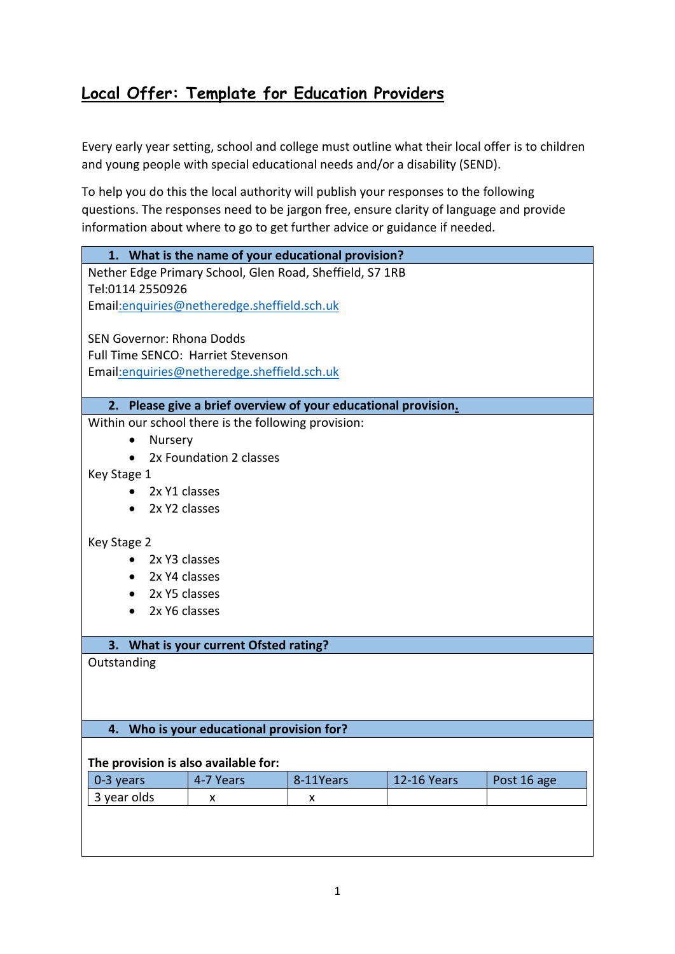# **Local Offer: Template for Education Providers**

Every early year setting, school and college must outline what their local offer is to children and young people with special educational needs and/or a disability (SEND).

To help you do this the local authority will publish your responses to the following questions. The responses need to be jargon free, ensure clarity of language and provide information about where to go to get further advice or guidance if needed.

| 1. What is the name of your educational provision? |                                                                |           |                    |             |
|----------------------------------------------------|----------------------------------------------------------------|-----------|--------------------|-------------|
|                                                    | Nether Edge Primary School, Glen Road, Sheffield, S7 1RB       |           |                    |             |
| Tel:0114 2550926                                   |                                                                |           |                    |             |
|                                                    | Email: enquiries@netheredge.sheffield.sch.uk                   |           |                    |             |
| <b>SEN Governor: Rhona Dodds</b>                   |                                                                |           |                    |             |
|                                                    | <b>Full Time SENCO: Harriet Stevenson</b>                      |           |                    |             |
|                                                    | Email: enquiries@netheredge.sheffield.sch.uk                   |           |                    |             |
|                                                    |                                                                |           |                    |             |
|                                                    | 2. Please give a brief overview of your educational provision. |           |                    |             |
|                                                    | Within our school there is the following provision:            |           |                    |             |
| Nursery                                            |                                                                |           |                    |             |
| $\bullet$                                          | 2x Foundation 2 classes                                        |           |                    |             |
| Key Stage 1                                        |                                                                |           |                    |             |
| 2x Y1 classes<br>$\bullet$                         |                                                                |           |                    |             |
| 2x Y2 classes<br>$\bullet$                         |                                                                |           |                    |             |
| Key Stage 2                                        |                                                                |           |                    |             |
| 2x Y3 classes<br>$\bullet$                         |                                                                |           |                    |             |
| 2x Y4 classes<br>$\bullet$                         |                                                                |           |                    |             |
| 2x Y5 classes<br>$\bullet$                         |                                                                |           |                    |             |
| 2x Y6 classes<br>$\bullet$                         |                                                                |           |                    |             |
|                                                    |                                                                |           |                    |             |
| 3. What is your current Ofsted rating?             |                                                                |           |                    |             |
| Outstanding                                        |                                                                |           |                    |             |
|                                                    |                                                                |           |                    |             |
|                                                    |                                                                |           |                    |             |
| 4.                                                 |                                                                |           |                    |             |
| Who is your educational provision for?             |                                                                |           |                    |             |
| The provision is also available for:               |                                                                |           |                    |             |
| 0-3 years                                          | 4-7 Years                                                      | 8-11Years | <b>12-16 Years</b> | Post 16 age |
| 3 year olds                                        | X                                                              | X         |                    |             |
|                                                    |                                                                |           |                    |             |
|                                                    |                                                                |           |                    |             |
|                                                    |                                                                |           |                    |             |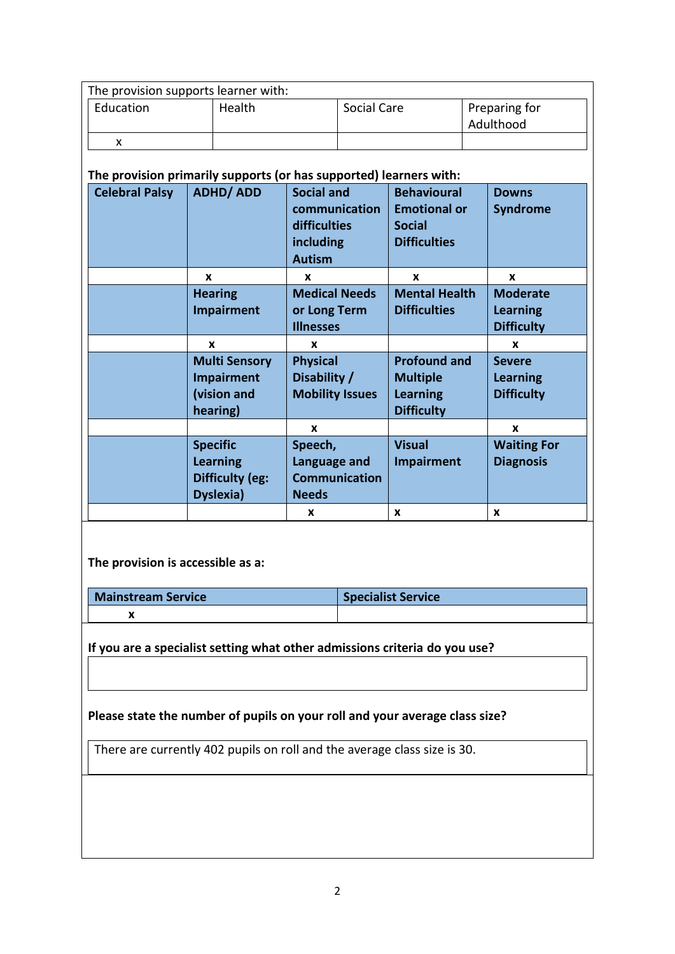| The provision supports learner with: |        |             |                            |  |
|--------------------------------------|--------|-------------|----------------------------|--|
| Education                            | Health | Social Care | Preparing for<br>Adulthood |  |
|                                      |        |             |                            |  |

## **The provision primarily supports (or has supported) learners with:**

| <b>Celebral Palsy</b> | <b>ADHD/ADD</b>                                                           | <b>Social and</b><br>communication<br>difficulties<br>including<br><b>Autism</b> | <b>Behavioural</b><br><b>Emotional or</b><br><b>Social</b><br><b>Difficulties</b> | <b>Downs</b><br><b>Syndrome</b>                         |
|-----------------------|---------------------------------------------------------------------------|----------------------------------------------------------------------------------|-----------------------------------------------------------------------------------|---------------------------------------------------------|
|                       | X                                                                         | X                                                                                | X                                                                                 | X                                                       |
|                       | <b>Hearing</b><br><b>Impairment</b>                                       | <b>Medical Needs</b><br>or Long Term<br><b>Illnesses</b>                         | <b>Mental Health</b><br><b>Difficulties</b>                                       | <b>Moderate</b><br><b>Learning</b><br><b>Difficulty</b> |
|                       | X                                                                         | x                                                                                |                                                                                   | X                                                       |
|                       | <b>Multi Sensory</b><br><b>Impairment</b><br>(vision and<br>hearing)      | <b>Physical</b><br>Disability /<br><b>Mobility Issues</b>                        | <b>Profound and</b><br><b>Multiple</b><br><b>Learning</b><br><b>Difficulty</b>    | <b>Severe</b><br><b>Learning</b><br><b>Difficulty</b>   |
|                       |                                                                           | X                                                                                |                                                                                   | X                                                       |
|                       | <b>Specific</b><br><b>Learning</b><br><b>Difficulty (eg:</b><br>Dyslexia) | Speech,<br>Language and<br><b>Communication</b><br><b>Needs</b>                  | <b>Visual</b><br><b>Impairment</b>                                                | <b>Waiting For</b><br><b>Diagnosis</b>                  |
|                       |                                                                           | X                                                                                | X                                                                                 | X                                                       |

**The provision is accessible as a:**

**Mainstream Service Specialist Service x**

**If you are a specialist setting what other admissions criteria do you use?**

**Please state the number of pupils on your roll and your average class size?**

There are currently 402 pupils on roll and the average class size is 30.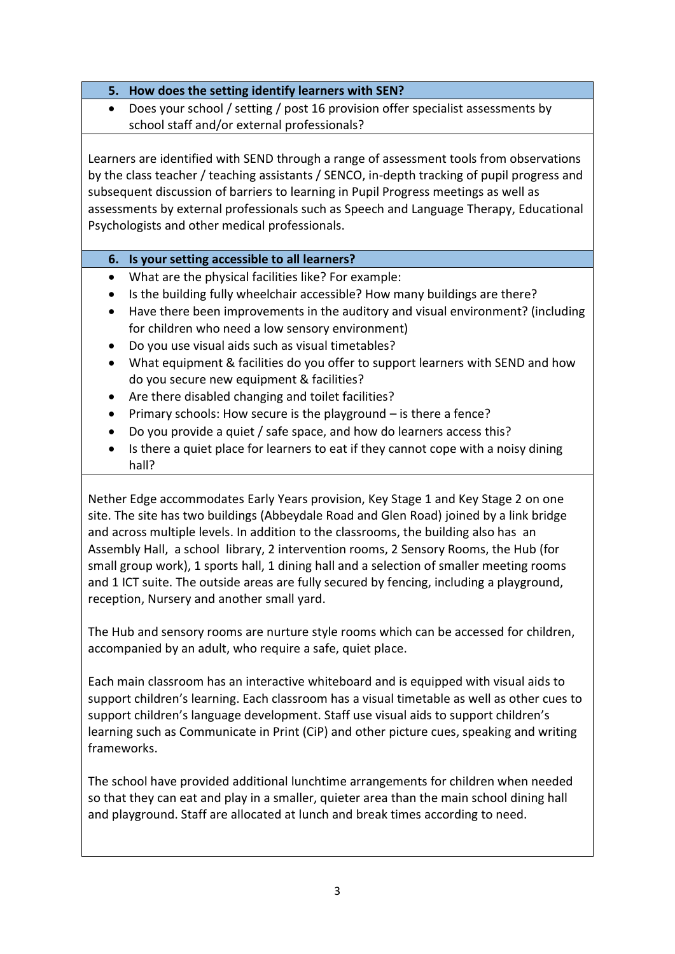- **5. How does the setting identify learners with SEN?**
- Does your school / setting / post 16 provision offer specialist assessments by school staff and/or external professionals?

Learners are identified with SEND through a range of assessment tools from observations by the class teacher / teaching assistants / SENCO, in-depth tracking of pupil progress and subsequent discussion of barriers to learning in Pupil Progress meetings as well as assessments by external professionals such as Speech and Language Therapy, Educational Psychologists and other medical professionals.

## **6. Is your setting accessible to all learners?**

- What are the physical facilities like? For example:
- Is the building fully wheelchair accessible? How many buildings are there?
- Have there been improvements in the auditory and visual environment? (including for children who need a low sensory environment)
- Do you use visual aids such as visual timetables?
- What equipment & facilities do you offer to support learners with SEND and how do you secure new equipment & facilities?
- Are there disabled changing and toilet facilities?
- Primary schools: How secure is the playground is there a fence?
- Do you provide a quiet / safe space, and how do learners access this?
- Is there a quiet place for learners to eat if they cannot cope with a noisy dining hall?

Nether Edge accommodates Early Years provision, Key Stage 1 and Key Stage 2 on one site. The site has two buildings (Abbeydale Road and Glen Road) joined by a link bridge and across multiple levels. In addition to the classrooms, the building also has an Assembly Hall, a school library, 2 intervention rooms, 2 Sensory Rooms, the Hub (for small group work), 1 sports hall, 1 dining hall and a selection of smaller meeting rooms and 1 ICT suite. The outside areas are fully secured by fencing, including a playground, reception, Nursery and another small yard.

The Hub and sensory rooms are nurture style rooms which can be accessed for children, accompanied by an adult, who require a safe, quiet place.

Each main classroom has an interactive whiteboard and is equipped with visual aids to support children's learning. Each classroom has a visual timetable as well as other cues to support children's language development. Staff use visual aids to support children's learning such as Communicate in Print (CiP) and other picture cues, speaking and writing frameworks.

The school have provided additional lunchtime arrangements for children when needed so that they can eat and play in a smaller, quieter area than the main school dining hall and playground. Staff are allocated at lunch and break times according to need.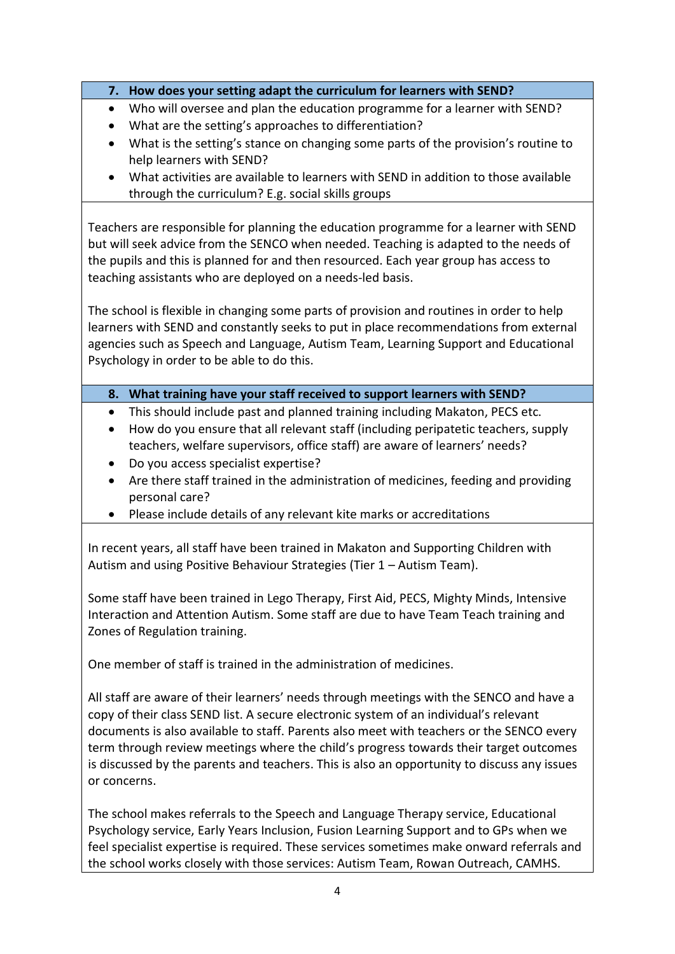## **7. How does your setting adapt the curriculum for learners with SEND?**

- Who will oversee and plan the education programme for a learner with SEND?
- What are the setting's approaches to differentiation?
- What is the setting's stance on changing some parts of the provision's routine to help learners with SEND?
- What activities are available to learners with SEND in addition to those available through the curriculum? E.g. social skills groups

Teachers are responsible for planning the education programme for a learner with SEND but will seek advice from the SENCO when needed. Teaching is adapted to the needs of the pupils and this is planned for and then resourced. Each year group has access to teaching assistants who are deployed on a needs-led basis.

The school is flexible in changing some parts of provision and routines in order to help learners with SEND and constantly seeks to put in place recommendations from external agencies such as Speech and Language, Autism Team, Learning Support and Educational Psychology in order to be able to do this.

## **8. What training have your staff received to support learners with SEND?**

- This should include past and planned training including Makaton, PECS etc.
- How do you ensure that all relevant staff (including peripatetic teachers, supply teachers, welfare supervisors, office staff) are aware of learners' needs?
- Do you access specialist expertise?
- Are there staff trained in the administration of medicines, feeding and providing personal care?
- Please include details of any relevant kite marks or accreditations

In recent years, all staff have been trained in Makaton and Supporting Children with Autism and using Positive Behaviour Strategies (Tier 1 – Autism Team).

Some staff have been trained in Lego Therapy, First Aid, PECS, Mighty Minds, Intensive Interaction and Attention Autism. Some staff are due to have Team Teach training and Zones of Regulation training.

One member of staff is trained in the administration of medicines.

All staff are aware of their learners' needs through meetings with the SENCO and have a copy of their class SEND list. A secure electronic system of an individual's relevant documents is also available to staff. Parents also meet with teachers or the SENCO every term through review meetings where the child's progress towards their target outcomes is discussed by the parents and teachers. This is also an opportunity to discuss any issues or concerns.

The school makes referrals to the Speech and Language Therapy service, Educational Psychology service, Early Years Inclusion, Fusion Learning Support and to GPs when we feel specialist expertise is required. These services sometimes make onward referrals and the school works closely with those services: Autism Team, Rowan Outreach, CAMHS.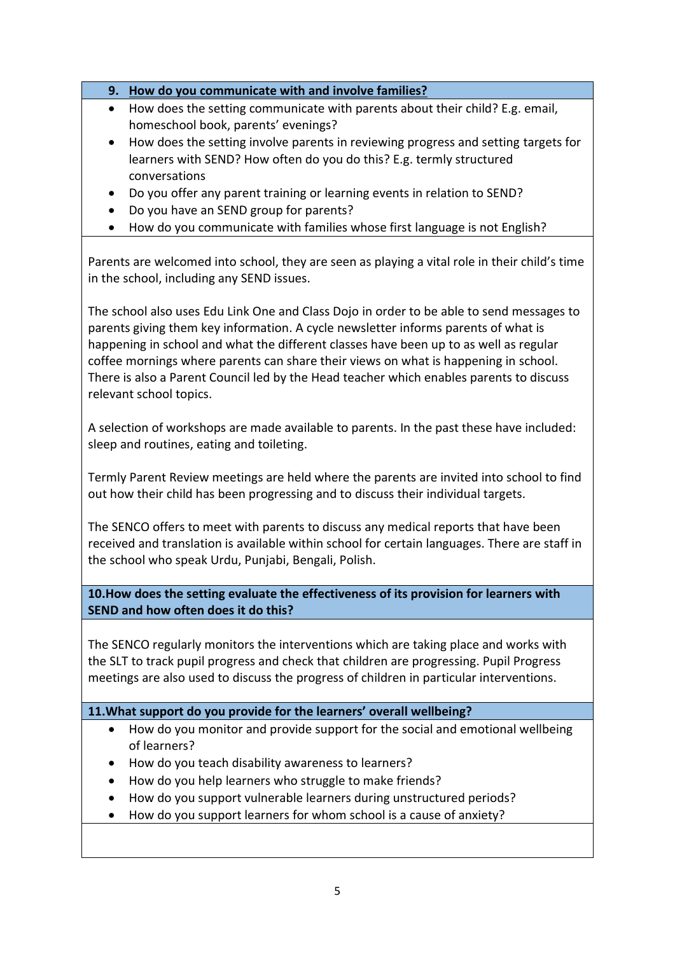- **9. How do you communicate with and involve families?**
- How does the setting communicate with parents about their child? E.g. email, homeschool book, parents' evenings?
- How does the setting involve parents in reviewing progress and setting targets for learners with SEND? How often do you do this? E.g. termly structured conversations
- Do you offer any parent training or learning events in relation to SEND?
- Do you have an SEND group for parents?
- How do you communicate with families whose first language is not English?

Parents are welcomed into school, they are seen as playing a vital role in their child's time in the school, including any SEND issues.

The school also uses Edu Link One and Class Dojo in order to be able to send messages to parents giving them key information. A cycle newsletter informs parents of what is happening in school and what the different classes have been up to as well as regular coffee mornings where parents can share their views on what is happening in school. There is also a Parent Council led by the Head teacher which enables parents to discuss relevant school topics.

A selection of workshops are made available to parents. In the past these have included: sleep and routines, eating and toileting.

Termly Parent Review meetings are held where the parents are invited into school to find out how their child has been progressing and to discuss their individual targets.

The SENCO offers to meet with parents to discuss any medical reports that have been received and translation is available within school for certain languages. There are staff in the school who speak Urdu, Punjabi, Bengali, Polish.

**10.How does the setting evaluate the effectiveness of its provision for learners with SEND and how often does it do this?**

The SENCO regularly monitors the interventions which are taking place and works with the SLT to track pupil progress and check that children are progressing. Pupil Progress meetings are also used to discuss the progress of children in particular interventions.

#### **11.What support do you provide for the learners' overall wellbeing?**

- How do you monitor and provide support for the social and emotional wellbeing of learners?
- How do you teach disability awareness to learners?
- How do you help learners who struggle to make friends?
- How do you support vulnerable learners during unstructured periods?
- How do you support learners for whom school is a cause of anxiety?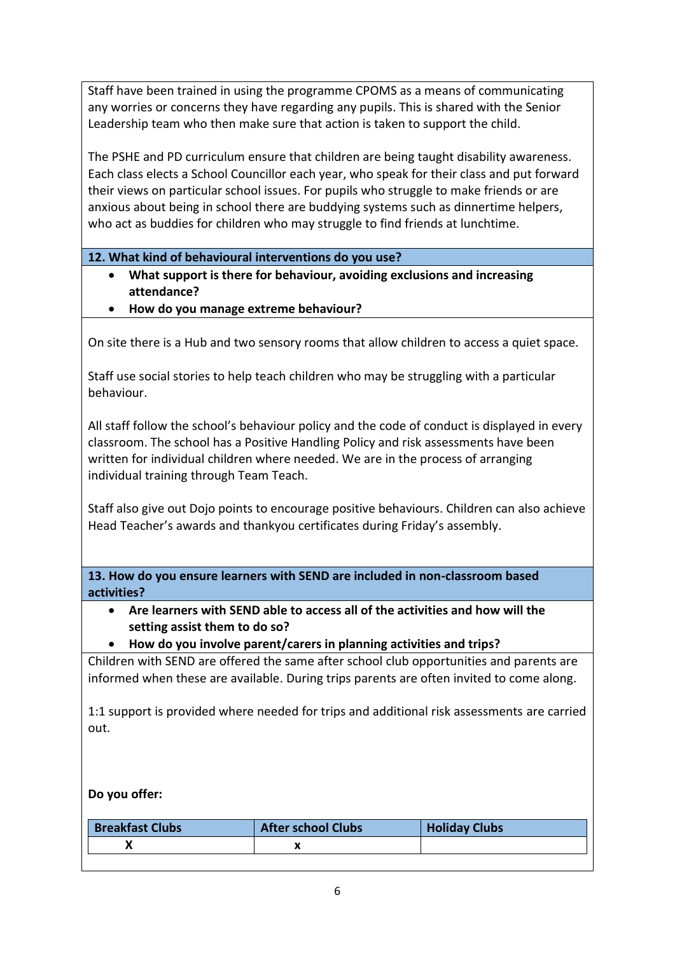Staff have been trained in using the programme CPOMS as a means of communicating any worries or concerns they have regarding any pupils. This is shared with the Senior Leadership team who then make sure that action is taken to support the child.

The PSHE and PD curriculum ensure that children are being taught disability awareness. Each class elects a School Councillor each year, who speak for their class and put forward their views on particular school issues. For pupils who struggle to make friends or are anxious about being in school there are buddying systems such as dinnertime helpers, who act as buddies for children who may struggle to find friends at lunchtime.

**12. What kind of behavioural interventions do you use?**

- **What support is there for behaviour, avoiding exclusions and increasing attendance?**
- **How do you manage extreme behaviour?**

On site there is a Hub and two sensory rooms that allow children to access a quiet space.

Staff use social stories to help teach children who may be struggling with a particular behaviour.

All staff follow the school's behaviour policy and the code of conduct is displayed in every classroom. The school has a Positive Handling Policy and risk assessments have been written for individual children where needed. We are in the process of arranging individual training through Team Teach.

Staff also give out Dojo points to encourage positive behaviours. Children can also achieve Head Teacher's awards and thankyou certificates during Friday's assembly.

**13. How do you ensure learners with SEND are included in non-classroom based activities?**

- **Are learners with SEND able to access all of the activities and how will the setting assist them to do so?**
- **How do you involve parent/carers in planning activities and trips?**

Children with SEND are offered the same after school club opportunities and parents are informed when these are available. During trips parents are often invited to come along.

1:1 support is provided where needed for trips and additional risk assessments are carried out.

#### **Do you offer:**

| <b>Breakfast Clubs</b> | <b>After school Clubs</b> | <b>Holiday Clubs</b> |
|------------------------|---------------------------|----------------------|
|                        |                           |                      |
|                        |                           |                      |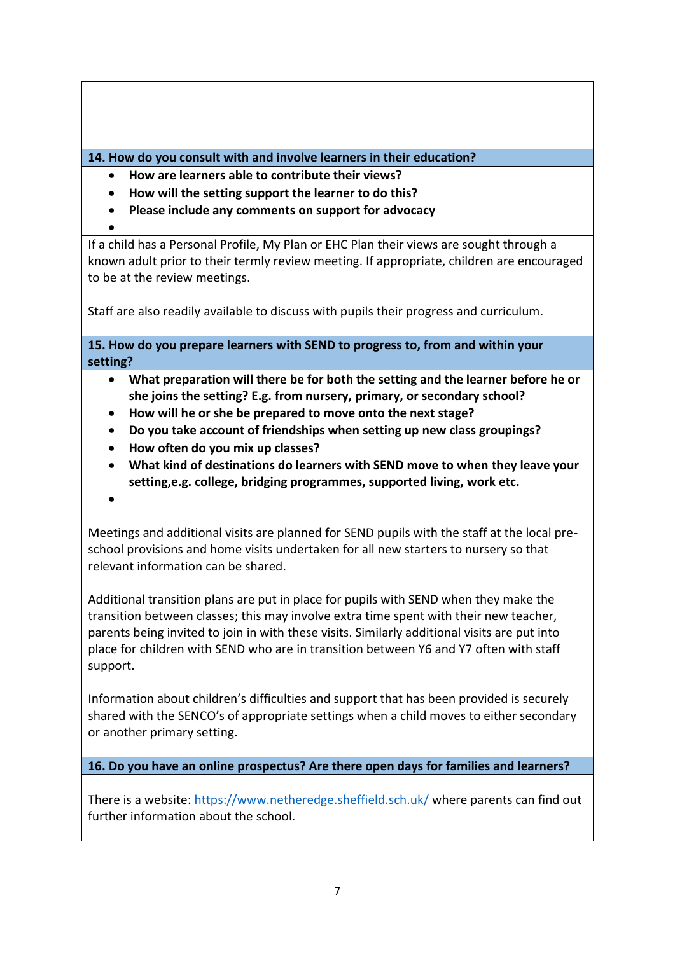**14. How do you consult with and involve learners in their education?**

- **How are learners able to contribute their views?**
- **How will the setting support the learner to do this?**
- **Please include any comments on support for advocacy**
- $\bullet$

If a child has a Personal Profile, My Plan or EHC Plan their views are sought through a known adult prior to their termly review meeting. If appropriate, children are encouraged to be at the review meetings.

Staff are also readily available to discuss with pupils their progress and curriculum.

**15. How do you prepare learners with SEND to progress to, from and within your setting?**

- **What preparation will there be for both the setting and the learner before he or she joins the setting? E.g. from nursery, primary, or secondary school?**
- **How will he or she be prepared to move onto the next stage?**
- **Do you take account of friendships when setting up new class groupings?**
- **How often do you mix up classes?**
- **What kind of destinations do learners with SEND move to when they leave your setting,e.g. college, bridging programmes, supported living, work etc.**
- $\bullet$

Meetings and additional visits are planned for SEND pupils with the staff at the local preschool provisions and home visits undertaken for all new starters to nursery so that relevant information can be shared.

Additional transition plans are put in place for pupils with SEND when they make the transition between classes; this may involve extra time spent with their new teacher, parents being invited to join in with these visits. Similarly additional visits are put into place for children with SEND who are in transition between Y6 and Y7 often with staff support.

Information about children's difficulties and support that has been provided is securely shared with the SENCO's of appropriate settings when a child moves to either secondary or another primary setting.

**16. Do you have an online prospectus? Are there open days for families and learners?**

There is a website:<https://www.netheredge.sheffield.sch.uk/> where parents can find out further information about the school.